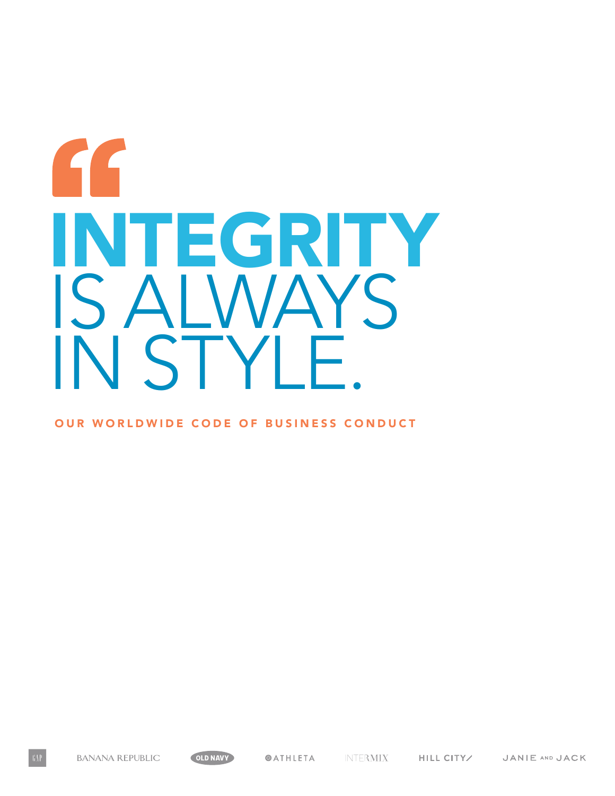# " INTEGRITY IS ALWAYS IN STYLE.

OUR WORLDWIDE CODE OF BUSINESS CONDUCT





**INTERMIX** 

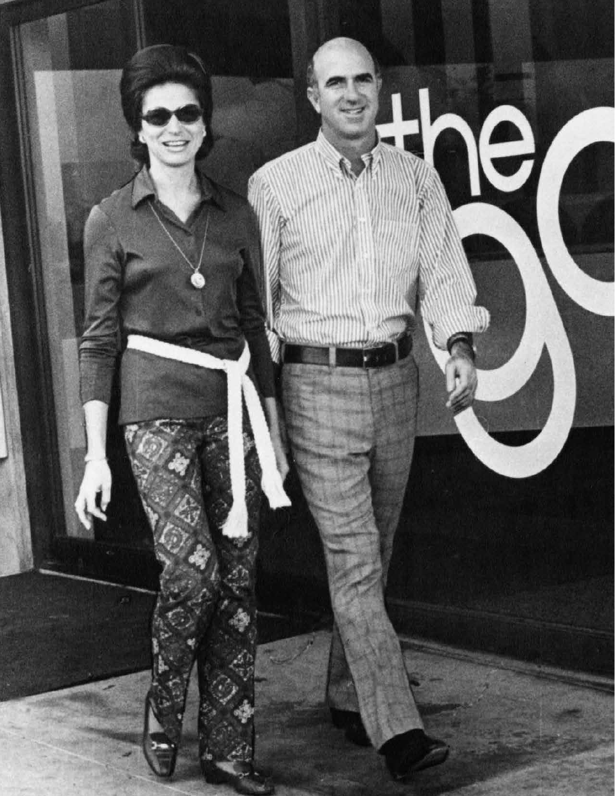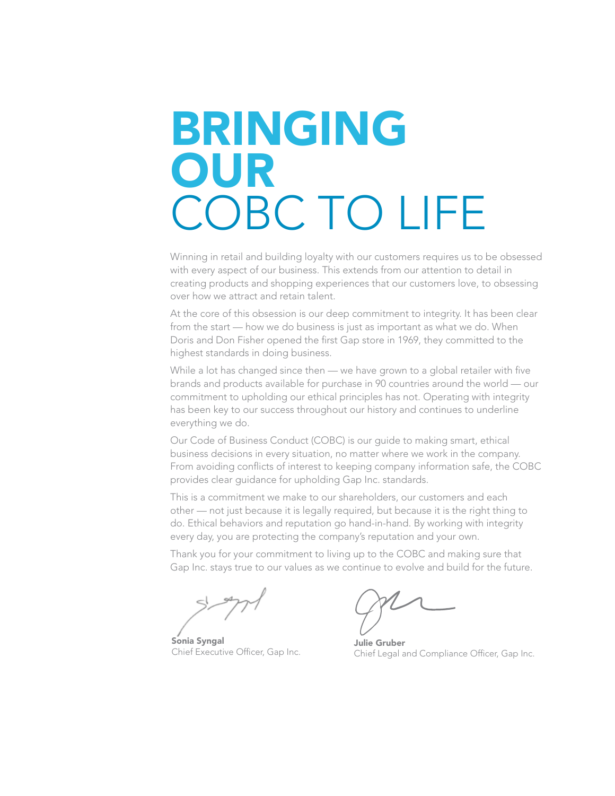## BRINGING OUR COBC TO LIFE

Winning in retail and building loyalty with our customers requires us to be obsessed with every aspect of our business. This extends from our attention to detail in creating products and shopping experiences that our customers love, to obsessing over how we attract and retain talent.

At the core of this obsession is our deep commitment to integrity. It has been clear from the start — how we do business is just as important as what we do. When Doris and Don Fisher opened the first Gap store in 1969, they committed to the highest standards in doing business.

While a lot has changed since then — we have grown to a global retailer with five brands and products available for purchase in 90 countries around the world — our commitment to upholding our ethical principles has not. Operating with integrity has been key to our success throughout our history and continues to underline everything we do.

Our Code of Business Conduct (COBC) is our guide to making smart, ethical business decisions in every situation, no matter where we work in the company. From avoiding conflicts of interest to keeping company information safe, the COBC provides clear guidance for upholding Gap Inc. standards.

This is a commitment we make to our shareholders, our customers and each other — not just because it is legally required, but because it is the right thing to do. Ethical behaviors and reputation go hand-in-hand. By working with integrity every day, you are protecting the company's reputation and your own.

Thank you for your commitment to living up to the COBC and making sure that Gap Inc. stays true to our values as we continue to evolve and build for the future.

Sonia Syngal Chief Executive Officer, Gap Inc.

Julie Gruber Chief Legal and Compliance Officer, Gap Inc.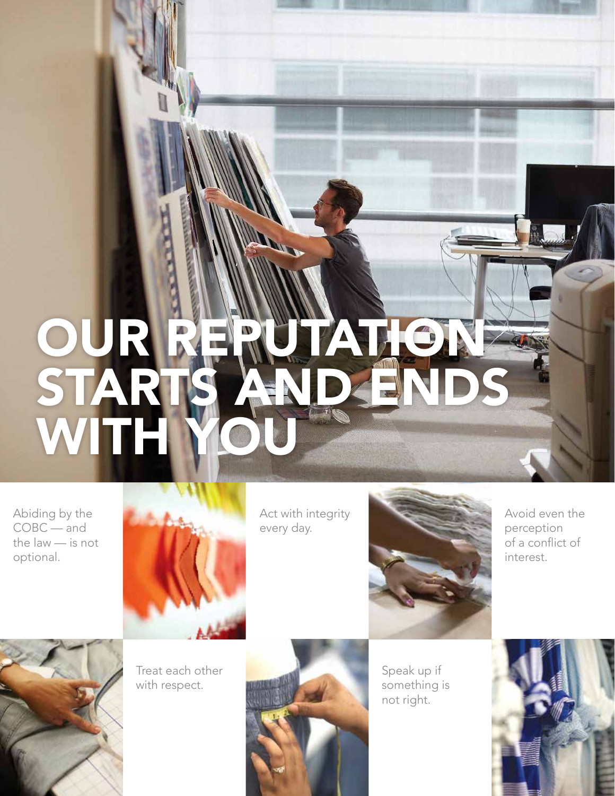# RERUTATION? STARTS AND ENDS WITH YOU

**Read** 

Abiding by the COBC — and the law — is not optional.



Act with integrity every day.



Avoid even the perception of a conflict of interest.



Treat each other with respect.



Speak up if something is not right.

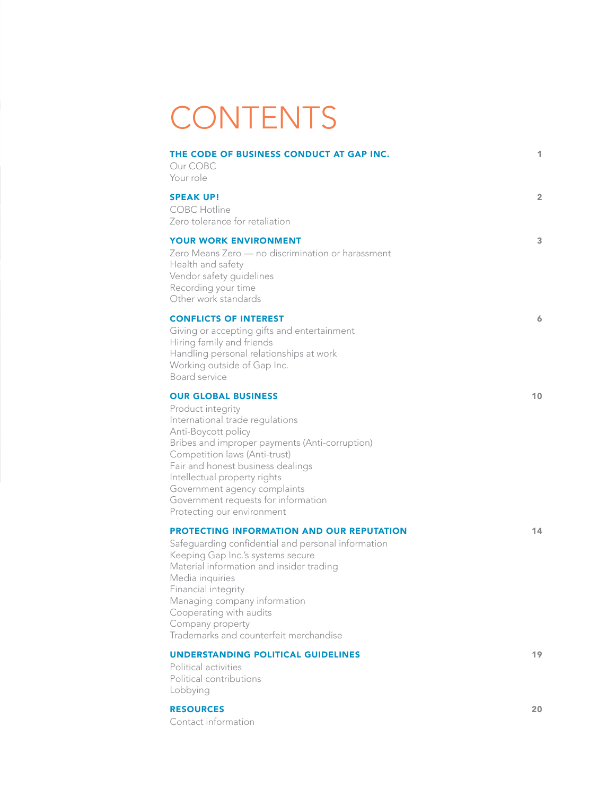## CONTENTS

| THE CODE OF BUSINESS CONDUCT AT GAP INC.<br>Our COBC<br>Your role                                                                                                                                                                                                                                                                                                      | 1              |
|------------------------------------------------------------------------------------------------------------------------------------------------------------------------------------------------------------------------------------------------------------------------------------------------------------------------------------------------------------------------|----------------|
| <b>SPEAK UP!</b><br><b>COBC Hotline</b><br>Zero tolerance for retaliation                                                                                                                                                                                                                                                                                              | $\overline{2}$ |
| <b>YOUR WORK ENVIRONMENT</b><br>Zero Means Zero - no discrimination or harassment<br>Health and safety<br>Vendor safety guidelines<br>Recording your time<br>Other work standards                                                                                                                                                                                      | 3              |
| <b>CONFLICTS OF INTEREST</b><br>Giving or accepting gifts and entertainment<br>Hiring family and friends<br>Handling personal relationships at work<br>Working outside of Gap Inc.<br>Board service                                                                                                                                                                    | 6              |
| <b>OUR GLOBAL BUSINESS</b><br>Product integrity<br>International trade regulations<br>Anti-Boycott policy<br>Bribes and improper payments (Anti-corruption)<br>Competition laws (Anti-trust)<br>Fair and honest business dealings<br>Intellectual property rights<br>Government agency complaints<br>Government requests for information<br>Protecting our environment | 10             |
| <b>PROTECTING INFORMATION AND OUR REPUTATION</b><br>Safeguarding confidential and personal information<br>Keeping Gap Inc.'s systems secure<br>Material information and insider trading<br>Media inquiries<br>Financial integrity<br>Managing company information<br>Cooperating with audits<br>Company property<br>Trademarks and counterfeit merchandise             | 14             |
| <b>UNDERSTANDING POLITICAL GUIDELINES</b><br>Political activities<br>Political contributions<br>Lobbying                                                                                                                                                                                                                                                               | 19             |
| <b>RESOURCES</b><br>Contact information                                                                                                                                                                                                                                                                                                                                | 20             |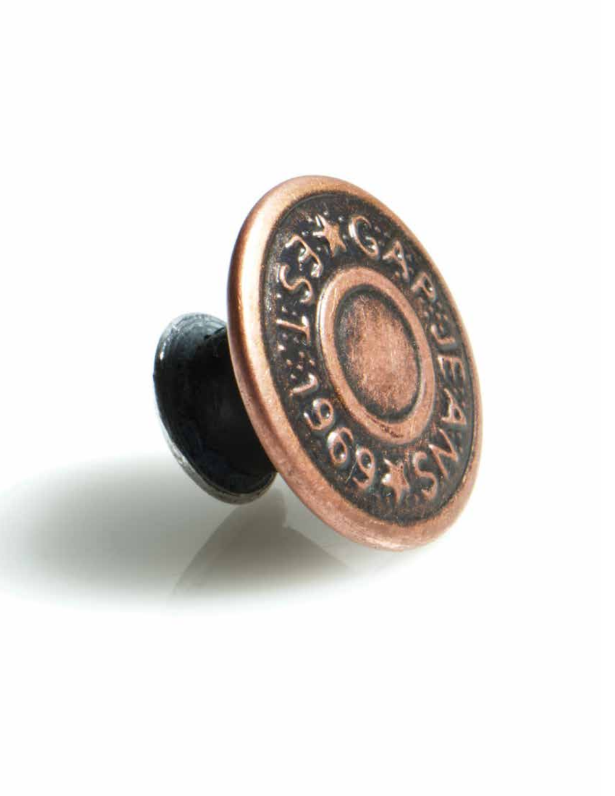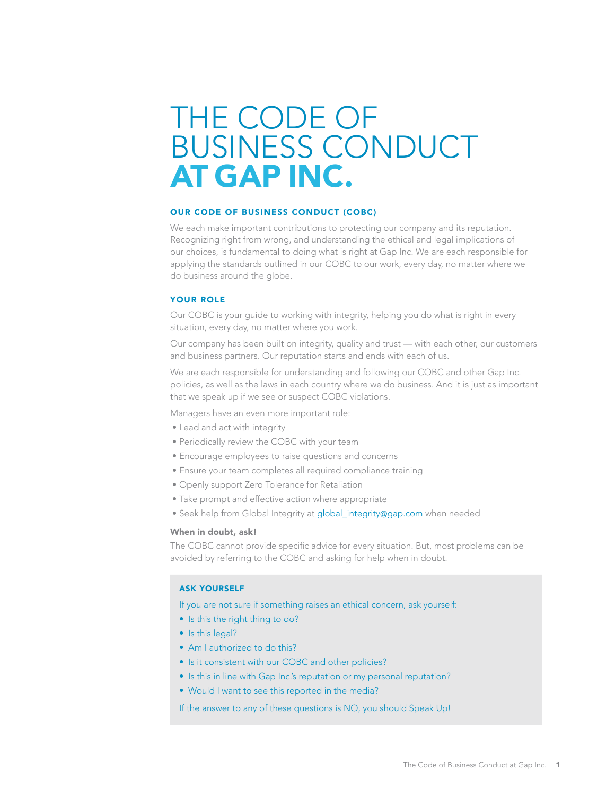## THE CODE OF BUSINESS CONDUCT AT GAP INC.

#### OUR CODE OF BUSINESS CONDUCT (COBC)

We each make important contributions to protecting our company and its reputation. Recognizing right from wrong, and understanding the ethical and legal implications of our choices, is fundamental to doing what is right at Gap Inc. We are each responsible for applying the standards outlined in our COBC to our work, every day, no matter where we do business around the globe.

#### YOUR ROLE

Our COBC is your guide to working with integrity, helping you do what is right in every situation, every day, no matter where you work.

Our company has been built on integrity, quality and trust — with each other, our customers and business partners. Our reputation starts and ends with each of us.

We are each responsible for understanding and following our COBC and other Gap Inc. policies, as well as the laws in each country where we do business. And it is just as important that we speak up if we see or suspect COBC violations.

Managers have an even more important role:

- Lead and act with integrity
- Periodically review the COBC with your team
- Encourage employees to raise questions and concerns
- Ensure your team completes all required compliance training
- Openly support Zero Tolerance for Retaliation
- Take prompt and effective action where appropriate
- Seek help from Global Integrity at global\_integrity@gap.com when needed

#### When in doubt, ask!

The COBC cannot provide specific advice for every situation. But, most problems can be avoided by referring to the COBC and asking for help when in doubt.

#### ASK YOURSELF

If you are not sure if something raises an ethical concern, ask yourself:

- Is this the right thing to do?
- Is this legal?
- Am I authorized to do this?
- Is it consistent with our COBC and other policies?
- Is this in line with Gap Inc.'s reputation or my personal reputation?
- Would I want to see this reported in the media?

If the answer to any of these questions is NO, you should Speak Up!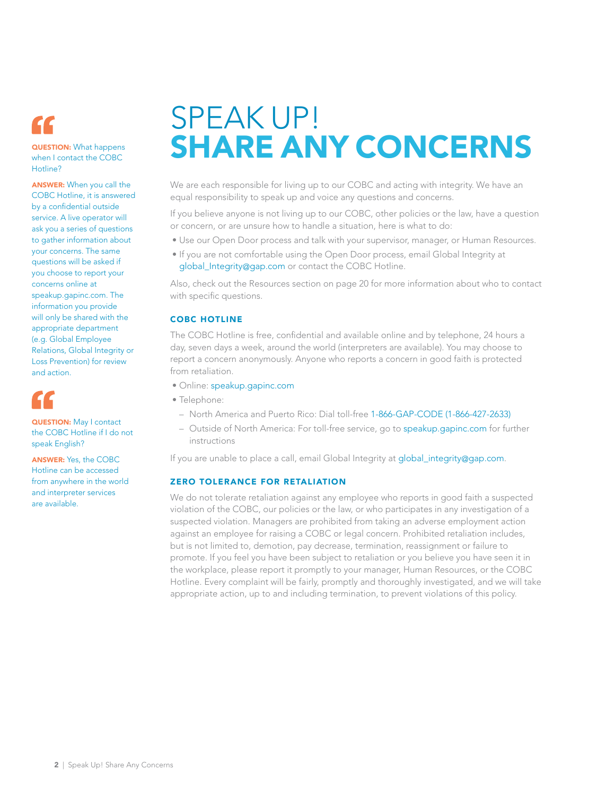QUESTION: What happens when I contact the COBC Hotline?

ANSWER: When you call the COBC Hotline, it is answered by a confidential outside service. A live operator will ask you a series of questions to gather information about your concerns. The same questions will be asked if you choose to report your concerns online at speakup.gapinc.com. The information you provide will only be shared with the appropriate department (e.g. Global Employee Relations, Global Integrity or Loss Prevention) for review and action.



**QUESTION:** May I contact the COBC Hotline if I do not speak English?

ANSWER: Yes, the COBC Hotline can be accessed from anywhere in the world and interpreter services are available.

## SPEAK UP! SHARE ANY CONCERNS

We are each responsible for living up to our COBC and acting with integrity. We have an equal responsibility to speak up and voice any questions and concerns.

If you believe anyone is not living up to our COBC, other policies or the law, have a question or concern, or are unsure how to handle a situation, here is what to do:

- Use our Open Door process and talk with your supervisor, manager, or Human Resources.
- If you are not comfortable using the Open Door process, email Global Integrity at global\_Integrity@gap.com or contact the COBC Hotline.

Also, check out the Resources section on page 20 for more information about who to contact with specific questions.

#### COBC HOTLINE

The COBC Hotline is free, confidential and available online and by telephone, 24 hours a day, seven days a week, around the world (interpreters are available). You may choose to report a concern anonymously. Anyone who reports a concern in good faith is protected from retaliation.

- Online: speakup.gapinc.com
- Telephone:
	- North America and Puerto Rico: Dial toll-free 1-866-GAP-CODE (1-866-427-2633)
- Outside of North America: For toll-free service, go to speakup.gapinc.com for further instructions

If you are unable to place a call, email Global Integrity at global\_integrity@gap.com.

## ZERO TOLERANCE FOR RETALIATION

We do not tolerate retaliation against any employee who reports in good faith a suspected violation of the COBC, our policies or the law, or who participates in any investigation of a suspected violation. Managers are prohibited from taking an adverse employment action against an employee for raising a COBC or legal concern. Prohibited retaliation includes, but is not limited to, demotion, pay decrease, termination, reassignment or failure to promote. If you feel you have been subject to retaliation or you believe you have seen it in the workplace, please report it promptly to your manager, Human Resources, or the COBC Hotline. Every complaint will be fairly, promptly and thoroughly investigated, and we will take appropriate action, up to and including termination, to prevent violations of this policy.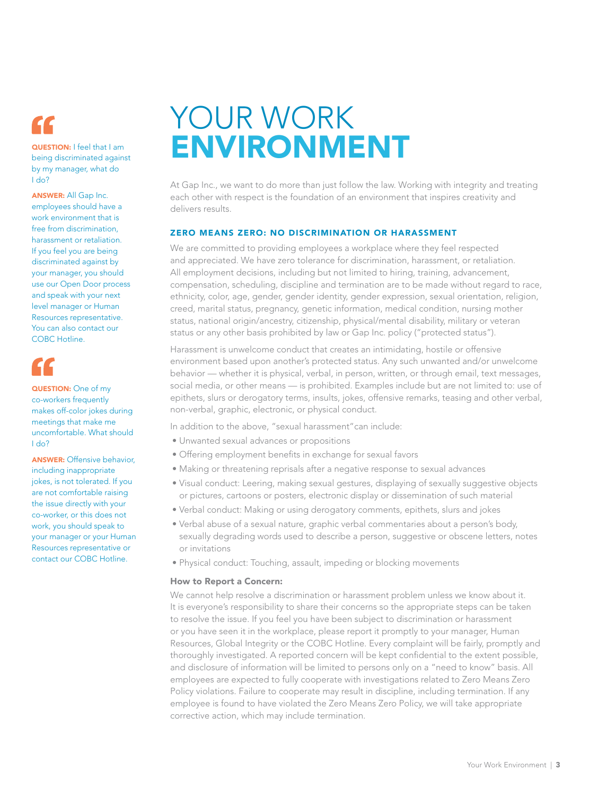QUESTION: I feel that I am being discriminated against by my manager, what do I do?

ANSWER: All Gap Inc. employees should have a work environment that is free from discrimination, harassment or retaliation. If you feel you are being discriminated against by your manager, you should use our Open Door process and speak with your next level manager or Human Resources representative. You can also contact our COBC Hotline.



QUESTION: One of my co-workers frequently makes off-color jokes during meetings that make me uncomfortable. What should I do?

ANSWER: Offensive behavior, including inappropriate jokes, is not tolerated. If you are not comfortable raising the issue directly with your co-worker, or this does not work, you should speak to your manager or your Human Resources representative or contact our COBC Hotline.

## YOUR WORK ENVIRONMENT

At Gap Inc., we want to do more than just follow the law. Working with integrity and treating each other with respect is the foundation of an environment that inspires creativity and delivers results.

### ZERO MEANS ZERO: NO DISCRIMINATION OR HARASSMENT

We are committed to providing employees a workplace where they feel respected and appreciated. We have zero tolerance for discrimination, harassment, or retaliation. All employment decisions, including but not limited to hiring, training, advancement, compensation, scheduling, discipline and termination are to be made without regard to race, ethnicity, color, age, gender, gender identity, gender expression, sexual orientation, religion, creed, marital status, pregnancy, genetic information, medical condition, nursing mother status, national origin/ancestry, citizenship, physical/mental disability, military or veteran status or any other basis prohibited by law or Gap Inc. policy ("protected status").

Harassment is unwelcome conduct that creates an intimidating, hostile or offensive environment based upon another's protected status. Any such unwanted and/or unwelcome behavior — whether it is physical, verbal, in person, written, or through email, text messages, social media, or other means — is prohibited. Examples include but are not limited to: use of epithets, slurs or derogatory terms, insults, jokes, offensive remarks, teasing and other verbal, non-verbal, graphic, electronic, or physical conduct.

In addition to the above, "sexual harassment"can include:

- Unwanted sexual advances or propositions
- Offering employment benefits in exchange for sexual favors
- Making or threatening reprisals after a negative response to sexual advances
- Visual conduct: Leering, making sexual gestures, displaying of sexually suggestive objects or pictures, cartoons or posters, electronic display or dissemination of such material
- Verbal conduct: Making or using derogatory comments, epithets, slurs and jokes
- Verbal abuse of a sexual nature, graphic verbal commentaries about a person's body, sexually degrading words used to describe a person, suggestive or obscene letters, notes or invitations
- Physical conduct: Touching, assault, impeding or blocking movements

#### How to Report a Concern:

We cannot help resolve a discrimination or harassment problem unless we know about it. It is everyone's responsibility to share their concerns so the appropriate steps can be taken to resolve the issue. If you feel you have been subject to discrimination or harassment or you have seen it in the workplace, please report it promptly to your manager, Human Resources, Global Integrity or the COBC Hotline. Every complaint will be fairly, promptly and thoroughly investigated. A reported concern will be kept confidential to the extent possible, and disclosure of information will be limited to persons only on a "need to know" basis. All employees are expected to fully cooperate with investigations related to Zero Means Zero Policy violations. Failure to cooperate may result in discipline, including termination. If any employee is found to have violated the Zero Means Zero Policy, we will take appropriate corrective action, which may include termination.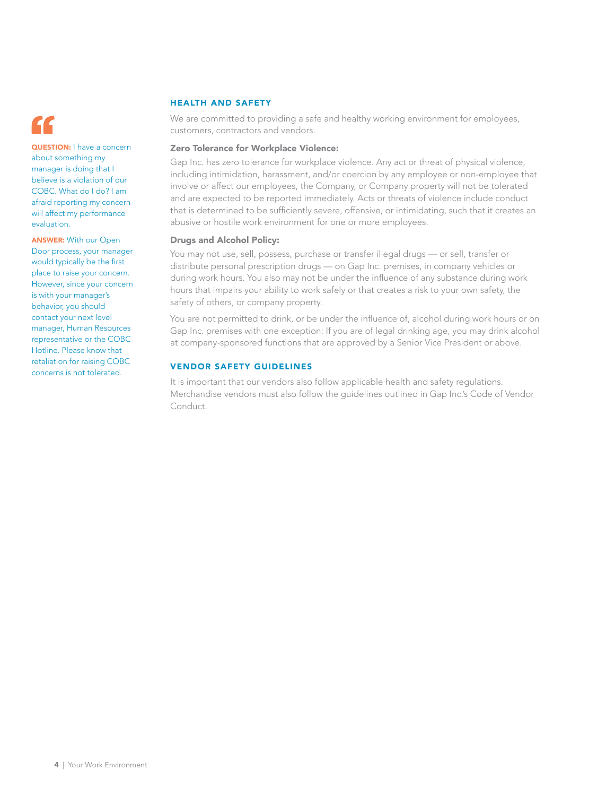QUESTION: I have a concern about something my manager is doing that I believe is a violation of our COBC. What do I do? I am afraid reporting my concern will affect my performance evaluation.

ANSWER: With our Open Door process, your manager would typically be the first place to raise your concern. However, since your concern is with your manager's behavior, you should contact your next level manager, Human Resources representative or the COBC Hotline. Please know that retaliation for raising COBC concerns is not tolerated.

#### HEALTH AND SAFETY

We are committed to providing a safe and healthy working environment for employees, customers, contractors and vendors.

#### Zero Tolerance for Workplace Violence:

Gap Inc. has zero tolerance for workplace violence. Any act or threat of physical violence, including intimidation, harassment, and/or coercion by any employee or non-employee that involve or affect our employees, the Company, or Company property will not be tolerated and are expected to be reported immediately. Acts or threats of violence include conduct that is determined to be sufficiently severe, offensive, or intimidating, such that it creates an abusive or hostile work environment for one or more employees.

#### Drugs and Alcohol Policy:

You may not use, sell, possess, purchase or transfer illegal drugs — or sell, transfer or distribute personal prescription drugs — on Gap Inc. premises, in company vehicles or during work hours. You also may not be under the influence of any substance during work hours that impairs your ability to work safely or that creates a risk to your own safety, the safety of others, or company property.

You are not permitted to drink, or be under the influence of, alcohol during work hours or on Gap Inc. premises with one exception: If you are of legal drinking age, you may drink alcohol at company-sponsored functions that are approved by a Senior Vice President or above.

#### VENDOR SAFETY GUIDELINES

It is important that our vendors also follow applicable health and safety regulations. Merchandise vendors must also follow the guidelines outlined in Gap Inc.'s Code of Vendor Conduct.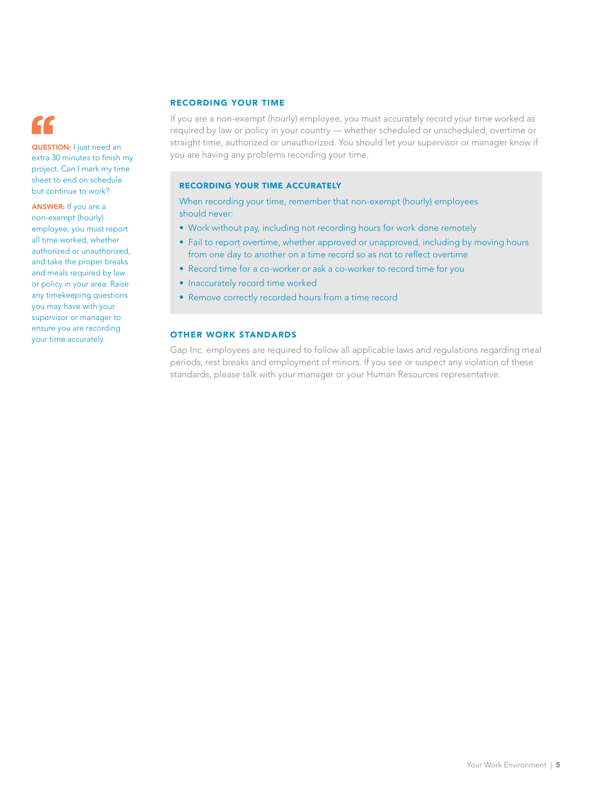QUESTION: I just need an extra 30 minutes to finish my project. Can I mark my time sheet to end on schedule but continue to work?

#### ANSWER: If you are a

non-exempt (hourly) employee, you must report all time worked, whether authorized or unauthorized, and take the proper breaks and meals required by law or policy in your area. Raise any timekeeping questions you may have with your supervisor or manager to ensure you are recording your time accurately.

#### RECORDING YOUR TIME

If you are a non-exempt (hourly) employee, you must accurately record your time worked as required by law or policy in your country — whether scheduled or unscheduled, overtime or straight time, authorized or unauthorized. You should let your supervisor or manager know if you are having any problems recording your time.

### RECORDING YOUR TIME ACCURATELY

When recording your time, remember that non-exempt (hourly) employees should never:

- Work without pay, including not recording hours for work done remotely
- Fail to report overtime, whether approved or unapproved, including by moving hours from one day to another on a time record so as not to reflect overtime
- Record time for a co-worker or ask a co-worker to record time for you
- Inaccurately record time worked
- Remove correctly recorded hours from a time record

#### OTHER WORK STANDARDS

Gap Inc. employees are required to follow all applicable laws and regulations regarding meal periods, rest breaks and employment of minors. If you see or suspect any violation of these standards, please talk with your manager or your Human Resources representative.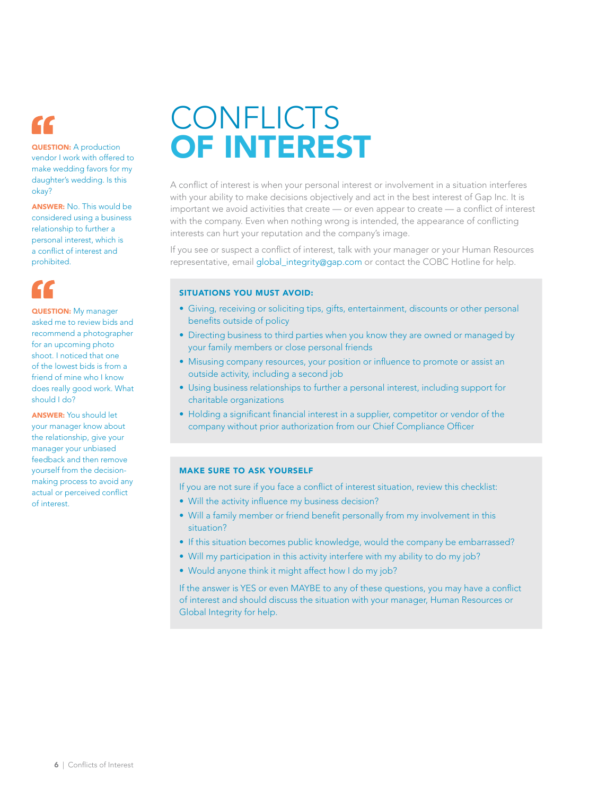QUESTION: A production vendor I work with offered to make wedding favors for my daughter's wedding. Is this okay?

ANSWER: No. This would be considered using a business relationship to further a personal interest, which is a conflict of interest and prohibited.

QUESTION: My manager asked me to review bids and recommend a photographer for an upcoming photo shoot. I noticed that one of the lowest bids is from a friend of mine who I know does really good work. What should I do?

ANSWER: You should let your manager know about the relationship, give your manager your unbiased feedback and then remove yourself from the decisionmaking process to avoid any actual or perceived conflict of interest.

## **CONFLICTS** OF INTEREST

A conflict of interest is when your personal interest or involvement in a situation interferes with your ability to make decisions objectively and act in the best interest of Gap Inc. It is important we avoid activities that create — or even appear to create — a conflict of interest with the company. Even when nothing wrong is intended, the appearance of conflicting interests can hurt your reputation and the company's image.

If you see or suspect a conflict of interest, talk with your manager or your Human Resources representative, email global\_integrity@gap.com or contact the COBC Hotline for help.

#### SITUATIONS YOU MUST AVOID:

- Giving, receiving or soliciting tips, gifts, entertainment, discounts or other personal benefits outside of policy
- Directing business to third parties when you know they are owned or managed by your family members or close personal friends
- Misusing company resources, your position or influence to promote or assist an outside activity, including a second job
- Using business relationships to further a personal interest, including support for charitable organizations
- Holding a significant financial interest in a supplier, competitor or vendor of the company without prior authorization from our Chief Compliance Officer

#### MAKE SURE TO ASK YOURSELF

If you are not sure if you face a conflict of interest situation, review this checklist:

- Will the activity influence my business decision?
- Will a family member or friend benefit personally from my involvement in this situation?
- If this situation becomes public knowledge, would the company be embarrassed?
- Will my participation in this activity interfere with my ability to do my job?
- Would anyone think it might affect how I do my job?

If the answer is YES or even MAYBE to any of these questions, you may have a conflict of interest and should discuss the situation with your manager, Human Resources or Global Integrity for help.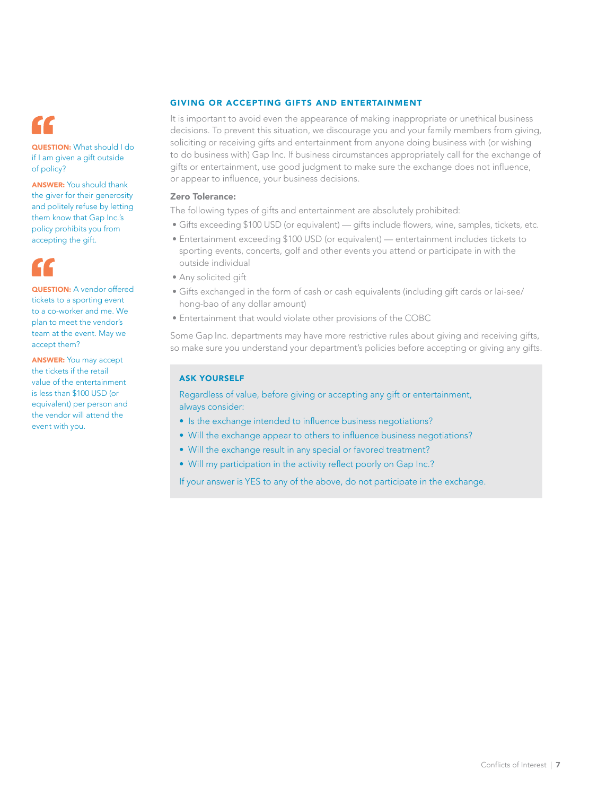QUESTION: What should I do if I am given a gift outside of policy?

ANSWER: You should thank the giver for their generosity and politely refuse by letting them know that Gap Inc.'s policy prohibits you from accepting the gift.

QUESTION: A vendor offered tickets to a sporting event to a co-worker and me. We plan to meet the vendor's team at the event. May we accept them?

ANSWER: You may accept the tickets if the retail value of the entertainment is less than \$100 USD (or equivalent) per person and the vendor will attend the event with you.

### GIVING OR ACCEPTING GIFTS AND ENTERTAINMENT

It is important to avoid even the appearance of making inappropriate or unethical business decisions. To prevent this situation, we discourage you and your family members from giving, soliciting or receiving gifts and entertainment from anyone doing business with (or wishing to do business with) Gap Inc. If business circumstances appropriately call for the exchange of gifts or entertainment, use good judgment to make sure the exchange does not influence, or appear to influence, your business decisions.

### Zero Tolerance:

The following types of gifts and entertainment are absolutely prohibited:

- Gifts exceeding \$100 USD (or equivalent) gifts include flowers, wine, samples, tickets, etc.
- Entertainment exceeding \$100 USD (or equivalent) entertainment includes tickets to sporting events, concerts, golf and other events you attend or participate in with the outside individual
- Any solicited gift
- Gifts exchanged in the form of cash or cash equivalents (including gift cards or lai-see/ hong-bao of any dollar amount)
- Entertainment that would violate other provisions of the COBC

Some Gap Inc. departments may have more restrictive rules about giving and receiving gifts, so make sure you understand your department's policies before accepting or giving any gifts.

### ASK YOURSELF

Regardless of value, before giving or accepting any gift or entertainment, always consider:

- Is the exchange intended to influence business negotiations?
- Will the exchange appear to others to influence business negotiations?
- Will the exchange result in any special or favored treatment?
- Will my participation in the activity reflect poorly on Gap Inc.?

If your answer is YES to any of the above, do not participate in the exchange.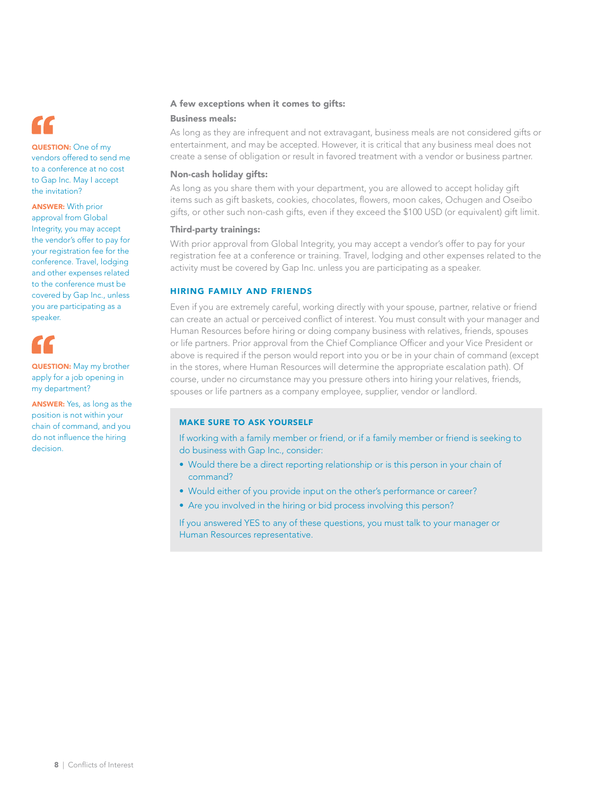**QUESTION:** One of my vendors offered to send me to a conference at no cost to Gap Inc. May I accept the invitation?

### ANSWER: With prior

approval from Global Integrity, you may accept the vendor's offer to pay for your registration fee for the conference. Travel, lodging and other expenses related to the conference must be covered by Gap Inc., unless you are participating as a speaker.



**QUESTION:** May my brother apply for a job opening in my department?

ANSWER: Yes, as long as the position is not within your chain of command, and you do not influence the hiring decision.

### A few exceptions when it comes to gifts:

#### Business meals:

As long as they are infrequent and not extravagant, business meals are not considered gifts or entertainment, and may be accepted. However, it is critical that any business meal does not create a sense of obligation or result in favored treatment with a vendor or business partner.

#### Non-cash holiday gifts:

As long as you share them with your department, you are allowed to accept holiday gift items such as gift baskets, cookies, chocolates, flowers, moon cakes, Ochugen and Oseibo gifts, or other such non-cash gifts, even if they exceed the \$100 USD (or equivalent) gift limit.

#### Third-party trainings:

With prior approval from Global Integrity, you may accept a vendor's offer to pay for your registration fee at a conference or training. Travel, lodging and other expenses related to the activity must be covered by Gap Inc. unless you are participating as a speaker.

### HIRING FAMILY AND FRIENDS

Even if you are extremely careful, working directly with your spouse, partner, relative or friend can create an actual or perceived conflict of interest. You must consult with your manager and Human Resources before hiring or doing company business with relatives, friends, spouses or life partners. Prior approval from the Chief Compliance Officer and your Vice President or above is required if the person would report into you or be in your chain of command (except in the stores, where Human Resources will determine the appropriate escalation path). Of course, under no circumstance may you pressure others into hiring your relatives, friends, spouses or life partners as a company employee, supplier, vendor or landlord.

#### MAKE SURE TO ASK YOURSELF

If working with a family member or friend, or if a family member or friend is seeking to do business with Gap Inc., consider:

- Would there be a direct reporting relationship or is this person in your chain of command?
- Would either of you provide input on the other's performance or career?
- Are you involved in the hiring or bid process involving this person?

If you answered YES to any of these questions, you must talk to your manager or Human Resources representative.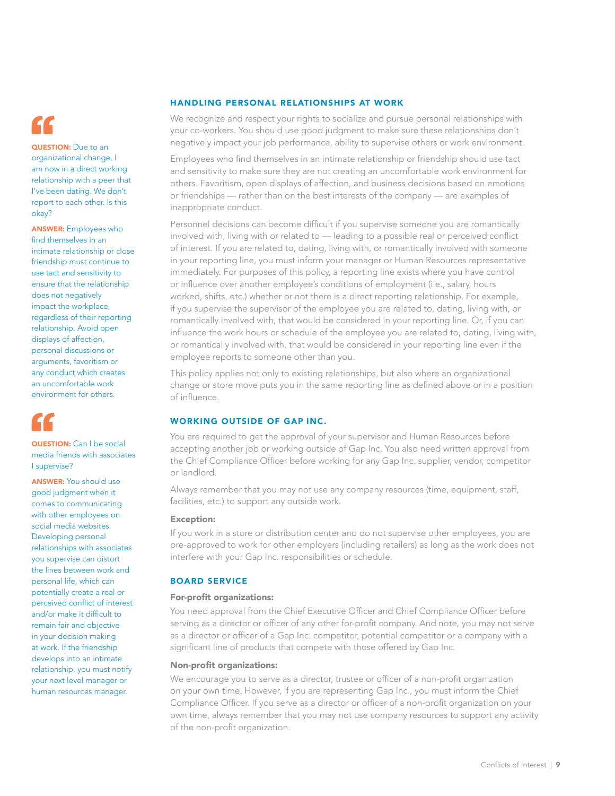**QUESTION:** Due to an organizational change, I am now in a direct working relationship with a peer that I've been dating. We don't report to each other. Is this okay?

ANSWER: Employees who find themselves in an intimate relationship or close friendship must continue to use tact and sensitivity to ensure that the relationship does not negatively impact the workplace, regardless of their reporting relationship. Avoid open displays of affection, personal discussions or arguments, favoritism or any conduct which creates an uncomfortable work environment for others.

QUESTION: Can I be social media friends with associates I supervise?

ANSWER: You should use good judgment when it comes to communicating with other employees on social media websites. Developing personal relationships with associates you supervise can distort the lines between work and personal life, which can potentially create a real or perceived conflict of interest and/or make it difficult to remain fair and objective in your decision making at work. If the friendship develops into an intimate relationship, you must notify your next level manager or human resources manager.

#### HANDLING PERSONAL RELATIONSHIPS AT WORK

We recognize and respect your rights to socialize and pursue personal relationships with your co-workers. You should use good judgment to make sure these relationships don't negatively impact your job performance, ability to supervise others or work environment.

Employees who find themselves in an intimate relationship or friendship should use tact and sensitivity to make sure they are not creating an uncomfortable work environment for others. Favoritism, open displays of affection, and business decisions based on emotions or friendships — rather than on the best interests of the company — are examples of inappropriate conduct.

Personnel decisions can become difficult if you supervise someone you are romantically involved with, living with or related to — leading to a possible real or perceived conflict of interest. If you are related to, dating, living with, or romantically involved with someone in your reporting line, you must inform your manager or Human Resources representative immediately. For purposes of this policy, a reporting line exists where you have control or influence over another employee's conditions of employment (i.e., salary, hours worked, shifts, etc.) whether or not there is a direct reporting relationship. For example, if you supervise the supervisor of the employee you are related to, dating, living with, or romantically involved with, that would be considered in your reporting line. Or, if you can influence the work hours or schedule of the employee you are related to, dating, living with, or romantically involved with, that would be considered in your reporting line even if the employee reports to someone other than you.

This policy applies not only to existing relationships, but also where an organizational change or store move puts you in the same reporting line as defined above or in a position of influence.

## WORKING OUTSIDE OF GAP INC.

You are required to get the approval of your supervisor and Human Resources before accepting another job or working outside of Gap Inc. You also need written approval from the Chief Compliance Officer before working for any Gap Inc. supplier, vendor, competitor or landlord.

Always remember that you may not use any company resources (time, equipment, staff, facilities, etc.) to support any outside work.

#### Exception:

If you work in a store or distribution center and do not supervise other employees, you are pre-approved to work for other employers (including retailers) as long as the work does not interfere with your Gap Inc. responsibilities or schedule.

### BOARD SERVICE

#### For-profit organizations:

You need approval from the Chief Executive Officer and Chief Compliance Officer before serving as a director or officer of any other for-profit company. And note, you may not serve as a director or officer of a Gap Inc. competitor, potential competitor or a company with a significant line of products that compete with those offered by Gap Inc.

#### Non-profit organizations:

We encourage you to serve as a director, trustee or officer of a non-profit organization on your own time. However, if you are representing Gap Inc., you must inform the Chief Compliance Officer. If you serve as a director or officer of a non-profit organization on your own time, always remember that you may not use company resources to support any activity of the non-profit organization.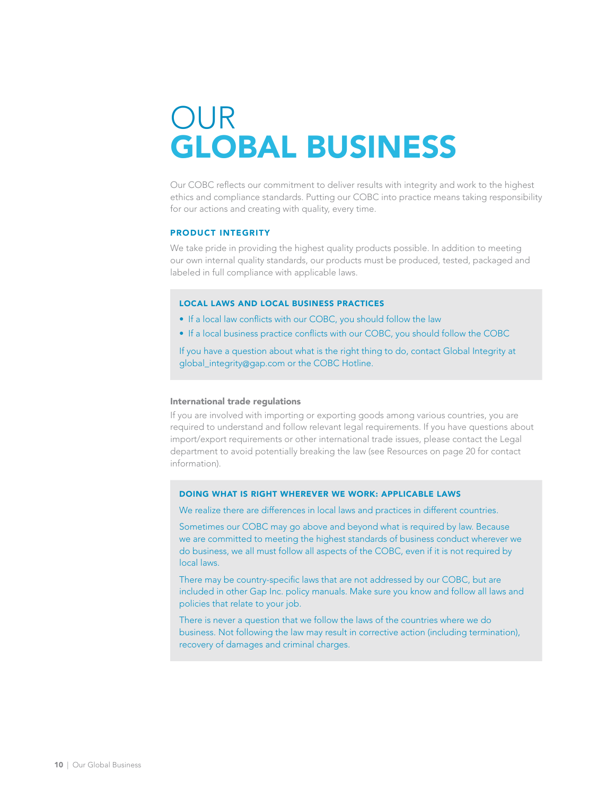## OUR GLOBAL BUSINESS

Our COBC reflects our commitment to deliver results with integrity and work to the highest ethics and compliance standards. Putting our COBC into practice means taking responsibility for our actions and creating with quality, every time.

#### PRODUCT INTEGRITY

We take pride in providing the highest quality products possible. In addition to meeting our own internal quality standards, our products must be produced, tested, packaged and labeled in full compliance with applicable laws.

#### LOCAL LAWS AND LOCAL BUSINESS PRACTICES

- If a local law conflicts with our COBC, you should follow the law
- If a local business practice conflicts with our COBC, you should follow the COBC

If you have a question about what is the right thing to do, contact Global Integrity at global\_integrity@gap.com or the COBC Hotline.

#### International trade regulations

If you are involved with importing or exporting goods among various countries, you are required to understand and follow relevant legal requirements. If you have questions about import/export requirements or other international trade issues, please contact the Legal department to avoid potentially breaking the law (see Resources on page 20 for contact information).

#### DOING WHAT IS RIGHT WHEREVER WE WORK: APPLICABLE LAWS

We realize there are differences in local laws and practices in different countries.

Sometimes our COBC may go above and beyond what is required by law. Because we are committed to meeting the highest standards of business conduct wherever we do business, we all must follow all aspects of the COBC, even if it is not required by local laws.

There may be country-specific laws that are not addressed by our COBC, but are included in other Gap Inc. policy manuals. Make sure you know and follow all laws and policies that relate to your job.

There is never a question that we follow the laws of the countries where we do business. Not following the law may result in corrective action (including termination), recovery of damages and criminal charges.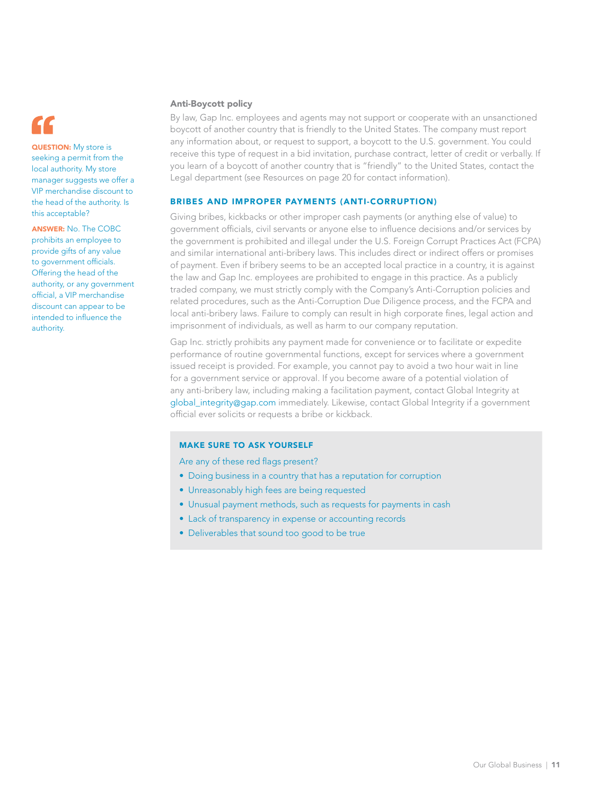QUESTION: My store is seeking a permit from the local authority. My store manager suggests we offer a VIP merchandise discount to the head of the authority. Is this acceptable?

ANSWER: No. The COBC prohibits an employee to provide gifts of any value to government officials. Offering the head of the authority, or any government official, a VIP merchandise discount can appear to be intended to influence the authority.

#### Anti-Boycott policy

By law, Gap Inc. employees and agents may not support or cooperate with an unsanctioned boycott of another country that is friendly to the United States. The company must report any information about, or request to support, a boycott to the U.S. government. You could receive this type of request in a bid invitation, purchase contract, letter of credit or verbally. If you learn of a boycott of another country that is "friendly" to the United States, contact the Legal department (see Resources on page 20 for contact information).

#### BRIBES AND IMPROPER PAYMENTS (ANTI-CORRUPTION)

Giving bribes, kickbacks or other improper cash payments (or anything else of value) to government officials, civil servants or anyone else to influence decisions and/or services by the government is prohibited and illegal under the U.S. Foreign Corrupt Practices Act (FCPA) and similar international anti-bribery laws. This includes direct or indirect offers or promises of payment. Even if bribery seems to be an accepted local practice in a country, it is against the law and Gap Inc. employees are prohibited to engage in this practice. As a publicly traded company, we must strictly comply with the Company's Anti-Corruption policies and related procedures, such as the Anti-Corruption Due Diligence process, and the FCPA and local anti-bribery laws. Failure to comply can result in high corporate fines, legal action and imprisonment of individuals, as well as harm to our company reputation.

Gap Inc. strictly prohibits any payment made for convenience or to facilitate or expedite performance of routine governmental functions, except for services where a government issued receipt is provided. For example, you cannot pay to avoid a two hour wait in line for a government service or approval. If you become aware of a potential violation of any anti-bribery law, including making a facilitation payment, contact Global Integrity at global\_integrity@gap.com immediately. Likewise, contact Global Integrity if a government official ever solicits or requests a bribe or kickback.

## MAKE SURE TO ASK YOURSELF

Are any of these red flags present?

- Doing business in a country that has a reputation for corruption
- Unreasonably high fees are being requested
- Unusual payment methods, such as requests for payments in cash
- Lack of transparency in expense or accounting records
- Deliverables that sound too good to be true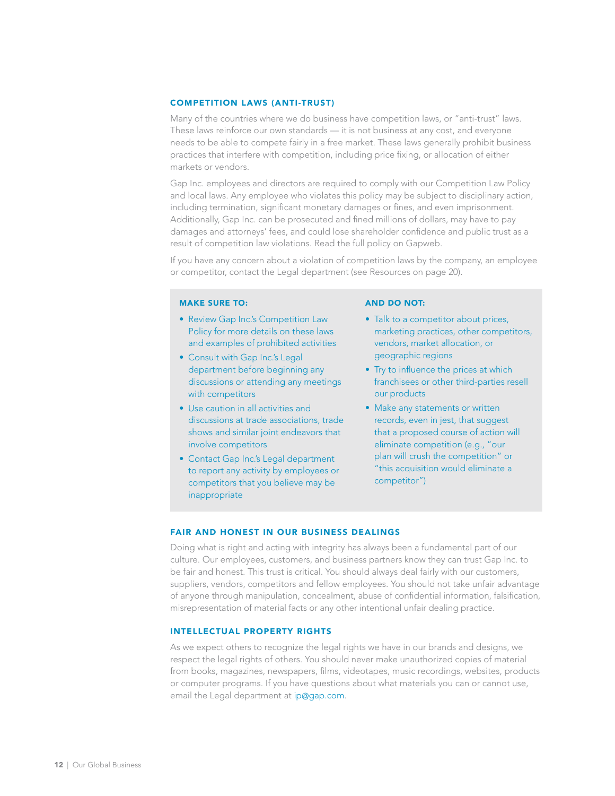#### COMPETITION LAWS (ANTI-TRUST)

Many of the countries where we do business have competition laws, or "anti-trust" laws. These laws reinforce our own standards — it is not business at any cost, and everyone needs to be able to compete fairly in a free market. These laws generally prohibit business practices that interfere with competition, including price fixing, or allocation of either markets or vendors.

Gap Inc. employees and directors are required to comply with our Competition Law Policy and local laws. Any employee who violates this policy may be subject to disciplinary action, including termination, significant monetary damages or fines, and even imprisonment. Additionally, Gap Inc. can be prosecuted and fined millions of dollars, may have to pay damages and attorneys' fees, and could lose shareholder confidence and public trust as a result of competition law violations. Read the full policy on Gapweb.

If you have any concern about a violation of competition laws by the company, an employee or competitor, contact the Legal department (see Resources on page 20).

#### MAKE SURE TO: AND DO NOT:

- Review Gap Inc.'s Competition Law Policy for more details on these laws and examples of prohibited activities
- Consult with Gap Inc.'s Legal department before beginning any discussions or attending any meetings with competitors
- Use caution in all activities and discussions at trade associations, trade shows and similar joint endeavors that involve competitors
- Contact Gap Inc.'s Legal department to report any activity by employees or competitors that you believe may be inappropriate

- Talk to a competitor about prices, marketing practices, other competitors, vendors, market allocation, or geographic regions
- Try to influence the prices at which franchisees or other third-parties resell our products
- Make any statements or written records, even in jest, that suggest that a proposed course of action will eliminate competition (e.g., "our plan will crush the competition" or "this acquisition would eliminate a competitor")

### FAIR AND HONEST IN OUR BUSINESS DEALINGS

Doing what is right and acting with integrity has always been a fundamental part of our culture. Our employees, customers, and business partners know they can trust Gap Inc. to be fair and honest. This trust is critical. You should always deal fairly with our customers, suppliers, vendors, competitors and fellow employees. You should not take unfair advantage of anyone through manipulation, concealment, abuse of confidential information, falsification, misrepresentation of material facts or any other intentional unfair dealing practice.

#### INTELLECTUAL PROPERTY RIGHTS

As we expect others to recognize the legal rights we have in our brands and designs, we respect the legal rights of others. You should never make unauthorized copies of material from books, magazines, newspapers, films, videotapes, music recordings, websites, products or computer programs. If you have questions about what materials you can or cannot use, email the Legal department at ip@gap.com.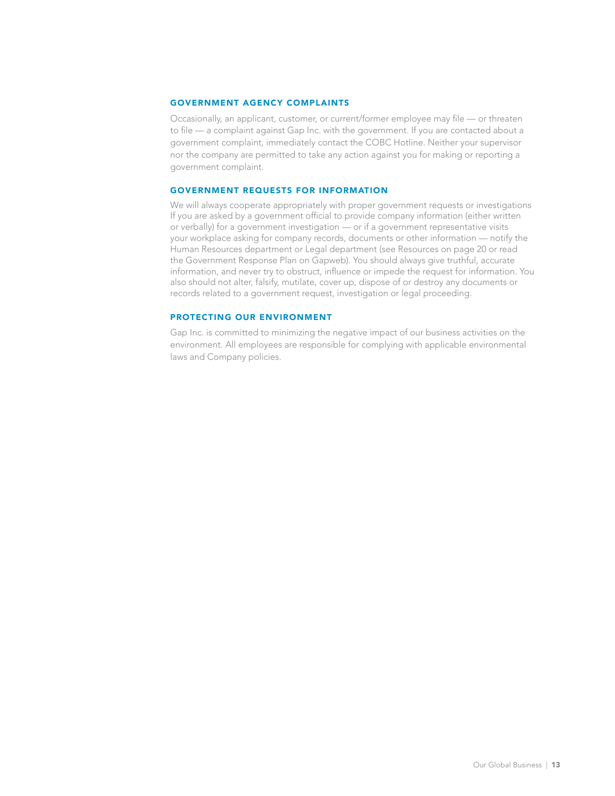#### GOVERNMENT AGENCY COMPLAINTS

Occasionally, an applicant, customer, or current/former employee may file — or threaten to file — a complaint against Gap Inc. with the government. If you are contacted about a government complaint, immediately contact the COBC Hotline. Neither your supervisor nor the company are permitted to take any action against you for making or reporting a government complaint.

#### GOVERNMENT REQUESTS FOR INFORMATION

We will always cooperate appropriately with proper government requests or investigations If you are asked by a government official to provide company information (either written or verbally) for a government investigation — or if a government representative visits your workplace asking for company records, documents or other information — notify the Human Resources department or Legal department (see Resources on page 20 or read the Government Response Plan on Gapweb). You should always give truthful, accurate information, and never try to obstruct, influence or impede the request for information. You also should not alter, falsify, mutilate, cover up, dispose of or destroy any documents or records related to a government request, investigation or legal proceeding.

#### PROTECTING OUR ENVIRONMENT

Gap Inc. is committed to minimizing the negative impact of our business activities on the environment. All employees are responsible for complying with applicable environmental laws and Company policies.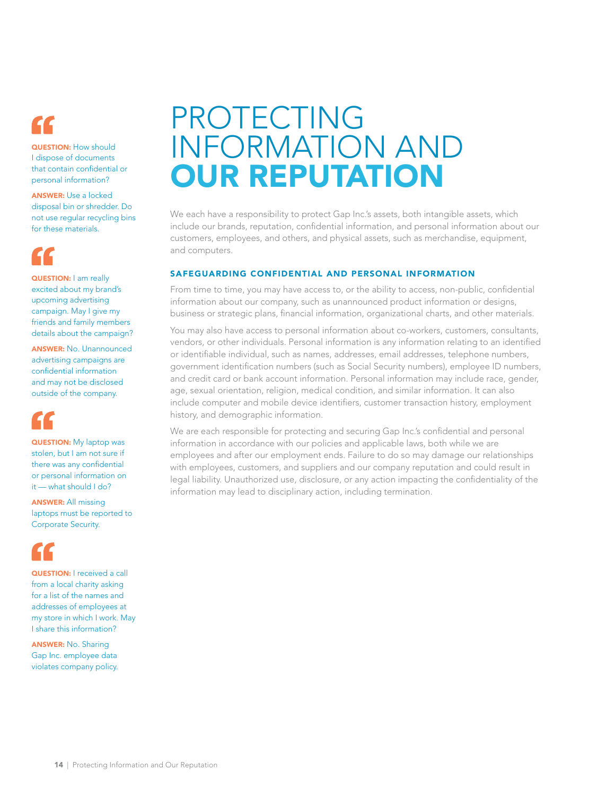QUESTION: How should I dispose of documents that contain confidential or personal information?

ANSWER: Use a locked disposal bin or shredder. Do not use regular recycling bins for these materials.

QUESTION: I am really excited about my brand's upcoming advertising campaign. May I give my friends and family members details about the campaign?

ANSWER: No. Unannounced advertising campaigns are confidential information and may not be disclosed outside of the company.

**QUESTION:** My laptop was stolen, but I am not sure if there was any confidential or personal information on it — what should I do?

ANSWER: All missing laptops must be reported to Corporate Security.



QUESTION: I received a call from a local charity asking for a list of the names and addresses of employees at my store in which I work. May I share this information?

ANSWER: No. Sharing Gap Inc. employee data violates company policy.

## PROTECTING INFORMATION AND OUR REPUTATION

We each have a responsibility to protect Gap Inc.'s assets, both intangible assets, which include our brands, reputation, confidential information, and personal information about our customers, employees, and others, and physical assets, such as merchandise, equipment, and computers.

## SAFEGUARDING CONFIDENTIAL AND PERSONAL INFORMATION

From time to time, you may have access to, or the ability to access, non-public, confidential information about our company, such as unannounced product information or designs, business or strategic plans, financial information, organizational charts, and other materials.

You may also have access to personal information about co-workers, customers, consultants, vendors, or other individuals. Personal information is any information relating to an identified or identifiable individual, such as names, addresses, email addresses, telephone numbers, government identification numbers (such as Social Security numbers), employee ID numbers, and credit card or bank account information. Personal information may include race, gender, age, sexual orientation, religion, medical condition, and similar information. It can also include computer and mobile device identifiers, customer transaction history, employment history, and demographic information.

We are each responsible for protecting and securing Gap Inc.'s confidential and personal information in accordance with our policies and applicable laws, both while we are employees and after our employment ends. Failure to do so may damage our relationships with employees, customers, and suppliers and our company reputation and could result in legal liability. Unauthorized use, disclosure, or any action impacting the confidentiality of the information may lead to disciplinary action, including termination.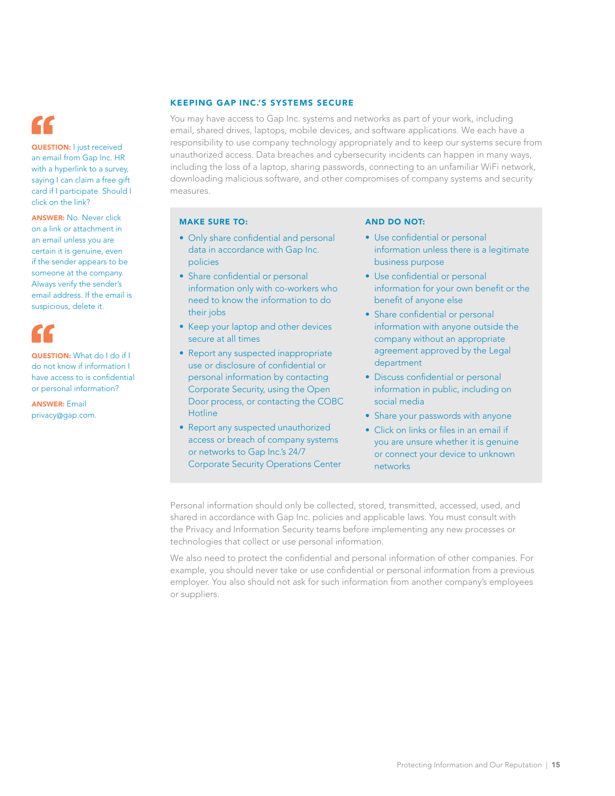QUESTION: I just received an email from Gap Inc. HR with a hyperlink to a survey, saying I can claim a free gift card if I participate. Should I click on the link?

ANSWER: No. Never click on a link or attachment in an email unless you are certain it is genuine, even if the sender appears to be someone at the company. Always verify the sender's email address. If the email is suspicious, delete it.



**QUESTION:** What do I do if I do not know if information I have access to is confidential or personal information?

ANSWER: Email privacy@gap.com.

#### KEEPING GAP INC.'S SYSTEMS SECURE

You may have access to Gap Inc. systems and networks as part of your work, including email, shared drives, laptops, mobile devices, and software applications. We each have a responsibility to use company technology appropriately and to keep our systems secure from unauthorized access. Data breaches and cybersecurity incidents can happen in many ways, including the loss of a laptop, sharing passwords, connecting to an unfamiliar WiFi network, downloading malicious software, and other compromises of company systems and security measures.

### MAKE SURE TO: AND DO NOT:

- Only share confidential and personal data in accordance with Gap Inc. policies
- Share confidential or personal information only with co-workers who need to know the information to do their jobs
- Keep your laptop and other devices secure at all times
- Report any suspected inappropriate use or disclosure of confidential or personal information by contacting Corporate Security, using the Open Door process, or contacting the COBC **Hotline**
- Report any suspected unauthorized access or breach of company systems or networks to Gap Inc.'s 24/7 Corporate Security Operations Center

- Use confidential or personal information unless there is a legitimate business purpose
- Use confidential or personal information for your own benefit or the benefit of anyone else
- Share confidential or personal information with anyone outside the company without an appropriate agreement approved by the Legal department
- Discuss confidential or personal information in public, including on social media
- Share your passwords with anyone
- Click on links or files in an email if you are unsure whether it is genuine or connect your device to unknown networks

Personal information should only be collected, stored, transmitted, accessed, used, and shared in accordance with Gap Inc. policies and applicable laws. You must consult with the Privacy and Information Security teams before implementing any new processes or technologies that collect or use personal information.

We also need to protect the confidential and personal information of other companies. For example, you should never take or use confidential or personal information from a previous employer. You also should not ask for such information from another company's employees or suppliers.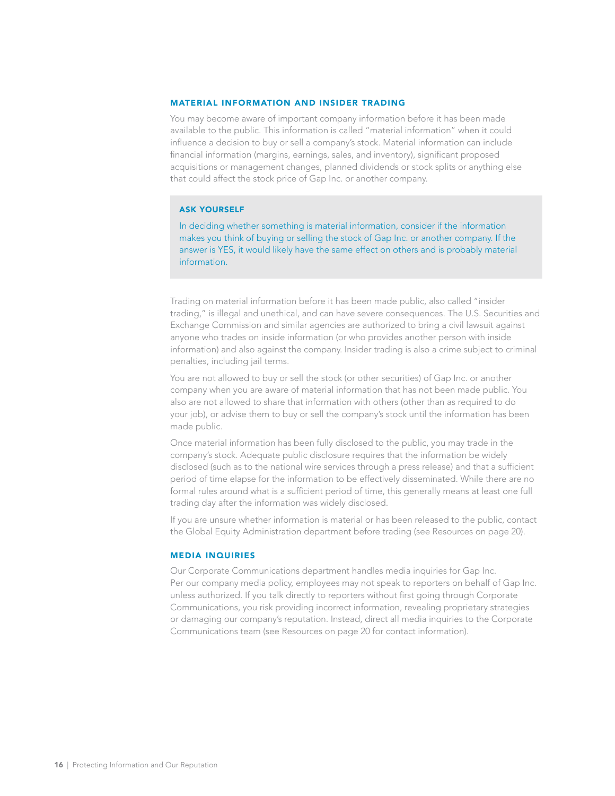#### MATERIAL INFORMATION AND INSIDER TRADING

You may become aware of important company information before it has been made available to the public. This information is called "material information" when it could influence a decision to buy or sell a company's stock. Material information can include financial information (margins, earnings, sales, and inventory), significant proposed acquisitions or management changes, planned dividends or stock splits or anything else that could affect the stock price of Gap Inc. or another company.

#### ASK YOURSELF

In deciding whether something is material information, consider if the information makes you think of buying or selling the stock of Gap Inc. or another company. If the answer is YES, it would likely have the same effect on others and is probably material information.

Trading on material information before it has been made public, also called "insider trading," is illegal and unethical, and can have severe consequences. The U.S. Securities and Exchange Commission and similar agencies are authorized to bring a civil lawsuit against anyone who trades on inside information (or who provides another person with inside information) and also against the company. Insider trading is also a crime subject to criminal penalties, including jail terms.

You are not allowed to buy or sell the stock (or other securities) of Gap Inc. or another company when you are aware of material information that has not been made public. You also are not allowed to share that information with others (other than as required to do your job), or advise them to buy or sell the company's stock until the information has been made public.

Once material information has been fully disclosed to the public, you may trade in the company's stock. Adequate public disclosure requires that the information be widely disclosed (such as to the national wire services through a press release) and that a sufficient period of time elapse for the information to be effectively disseminated. While there are no formal rules around what is a sufficient period of time, this generally means at least one full trading day after the information was widely disclosed.

If you are unsure whether information is material or has been released to the public, contact the Global Equity Administration department before trading (see Resources on page 20).

#### MEDIA INQUIRIES

Our Corporate Communications department handles media inquiries for Gap Inc. Per our company media policy, employees may not speak to reporters on behalf of Gap Inc. unless authorized. If you talk directly to reporters without first going through Corporate Communications, you risk providing incorrect information, revealing proprietary strategies or damaging our company's reputation. Instead, direct all media inquiries to the Corporate Communications team (see Resources on page 20 for contact information).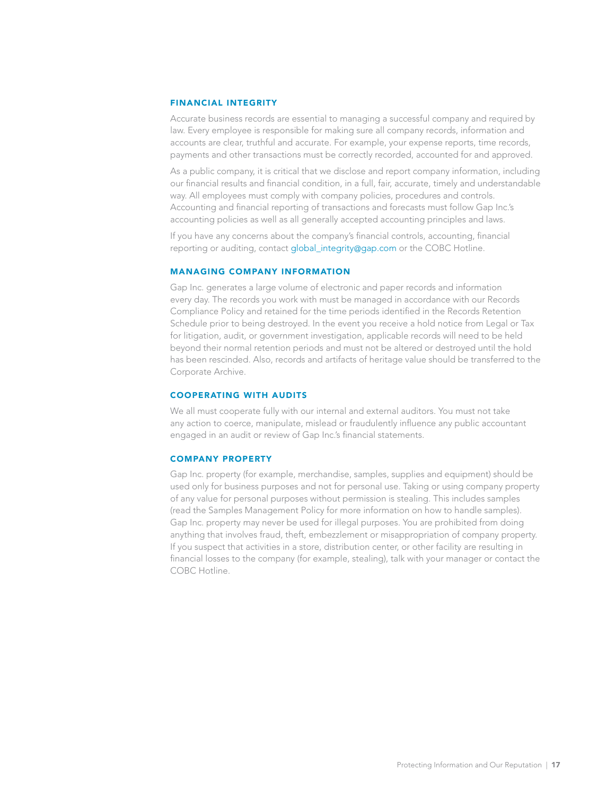#### FINANCIAL INTEGRITY

Accurate business records are essential to managing a successful company and required by law. Every employee is responsible for making sure all company records, information and accounts are clear, truthful and accurate. For example, your expense reports, time records, payments and other transactions must be correctly recorded, accounted for and approved.

As a public company, it is critical that we disclose and report company information, including our financial results and financial condition, in a full, fair, accurate, timely and understandable way. All employees must comply with company policies, procedures and controls. Accounting and financial reporting of transactions and forecasts must follow Gap Inc.'s accounting policies as well as all generally accepted accounting principles and laws.

If you have any concerns about the company's financial controls, accounting, financial reporting or auditing, contact global\_integrity@gap.com or the COBC Hotline.

#### MANAGING COMPANY INFORMATION

Gap Inc. generates a large volume of electronic and paper records and information every day. The records you work with must be managed in accordance with our Records Compliance Policy and retained for the time periods identified in the Records Retention Schedule prior to being destroyed. In the event you receive a hold notice from Legal or Tax for litigation, audit, or government investigation, applicable records will need to be held beyond their normal retention periods and must not be altered or destroyed until the hold has been rescinded. Also, records and artifacts of heritage value should be transferred to the Corporate Archive.

#### COOPERATING WITH AUDITS

We all must cooperate fully with our internal and external auditors. You must not take any action to coerce, manipulate, mislead or fraudulently influence any public accountant engaged in an audit or review of Gap Inc.'s financial statements.

#### COMPANY PROPERTY

Gap Inc. property (for example, merchandise, samples, supplies and equipment) should be used only for business purposes and not for personal use. Taking or using company property of any value for personal purposes without permission is stealing. This includes samples (read the Samples Management Policy for more information on how to handle samples). Gap Inc. property may never be used for illegal purposes. You are prohibited from doing anything that involves fraud, theft, embezzlement or misappropriation of company property. If you suspect that activities in a store, distribution center, or other facility are resulting in financial losses to the company (for example, stealing), talk with your manager or contact the COBC Hotline.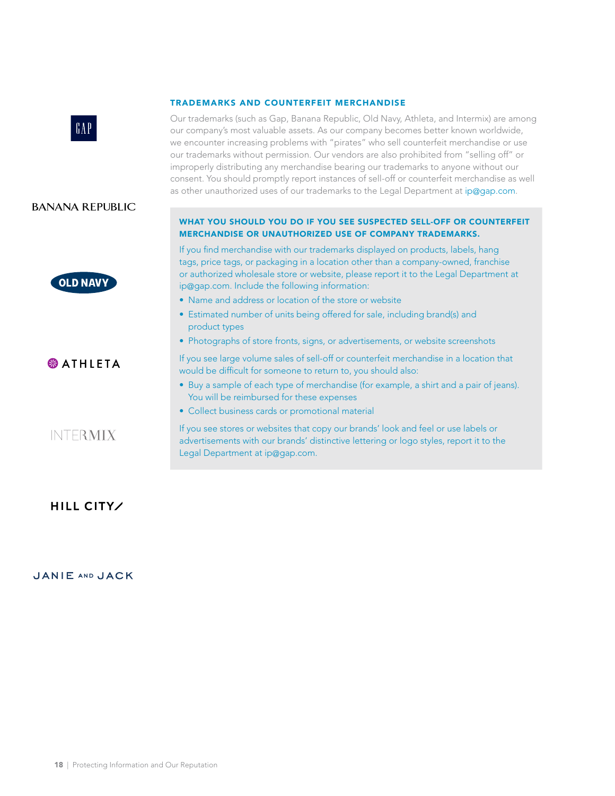## $fAP$

#### TRADEMARKS AND COUNTERFEIT MERCHANDISE

Our trademarks (such as Gap, Banana Republic, Old Navy, Athleta, and Intermix) are among our company's most valuable assets. As our company becomes better known worldwide, we encounter increasing problems with "pirates" who sell counterfeit merchandise or use our trademarks without permission. Our vendors are also prohibited from "selling off" or improperly distributing any merchandise bearing our trademarks to anyone without our consent. You should promptly report instances of sell-off or counterfeit merchandise as well as other unauthorized uses of our trademarks to the Legal Department at ip@gap.com.

## **BANANA REPUBLIC**



### WHAT YOU SHOULD YOU DO IF YOU SEE SUSPECTED SELL-OFF OR COUNTERFEIT MERCHANDISE OR UNAUTHORIZED USE OF COMPANY TRADEMARKS.

If you find merchandise with our trademarks displayed on products, labels, hang tags, price tags, or packaging in a location other than a company-owned, franchise or authorized wholesale store or website, please report it to the Legal Department at ip@gap.com. Include the following information:

- Name and address or location of the store or website
- Estimated number of units being offered for sale, including brand(s) and product types
- Photographs of store fronts, signs, or advertisements, or website screenshots

**BATHLETA** 

**INTERMIX** 

If you see large volume sales of sell-off or counterfeit merchandise in a location that would be difficult for someone to return to, you should also:

- Buy a sample of each type of merchandise (for example, a shirt and a pair of jeans). You will be reimbursed for these expenses
- Collect business cards or promotional material

If you see stores or websites that copy our brands' look and feel or use labels or advertisements with our brands' distinctive lettering or logo styles, report it to the Legal Department at ip@gap.com.

## HILL CITY/

## **JANIE AND JACK**

18 | Protecting Information and Our Reputation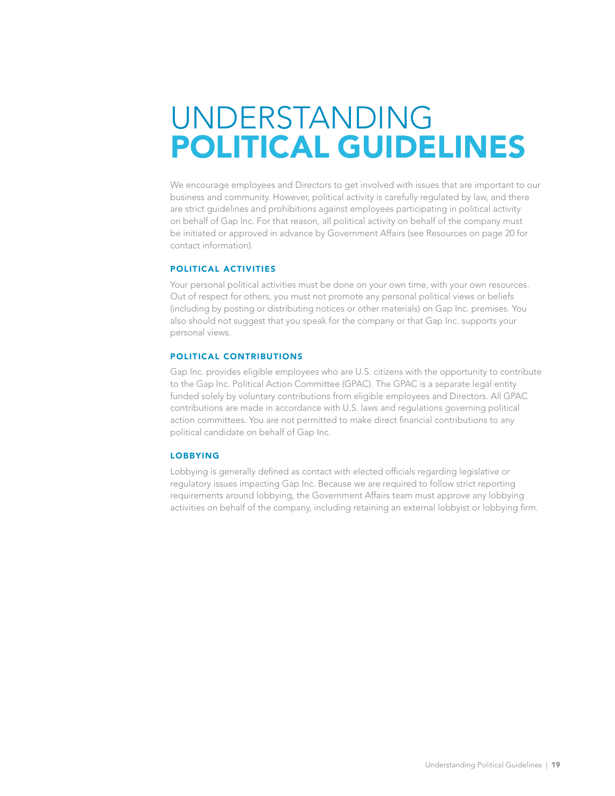## UNDERSTANDING POLITICAL GUIDELINES

We encourage employees and Directors to get involved with issues that are important to our business and community. However, political activity is carefully regulated by law, and there are strict guidelines and prohibitions against employees participating in political activity on behalf of Gap Inc. For that reason, all political activity on behalf of the company must be initiated or approved in advance by Government Affairs (see Resources on page 20 for contact information).

#### POLITICAL ACTIVITIES

Your personal political activities must be done on your own time, with your own resources. Out of respect for others, you must not promote any personal political views or beliefs (including by posting or distributing notices or other materials) on Gap Inc. premises. You also should not suggest that you speak for the company or that Gap Inc. supports your personal views.

#### POLITICAL CONTRIBUTIONS

Gap Inc. provides eligible employees who are U.S. citizens with the opportunity to contribute to the Gap Inc. Political Action Committee (GPAC). The GPAC is a separate legal entity funded solely by voluntary contributions from eligible employees and Directors. All GPAC contributions are made in accordance with U.S. laws and regulations governing political action committees. You are not permitted to make direct financial contributions to any political candidate on behalf of Gap Inc.

#### **LOBBYING**

Lobbying is generally defined as contact with elected officials regarding legislative or regulatory issues impacting Gap Inc. Because we are required to follow strict reporting requirements around lobbying, the Government Affairs team must approve any lobbying activities on behalf of the company, including retaining an external lobbyist or lobbying firm.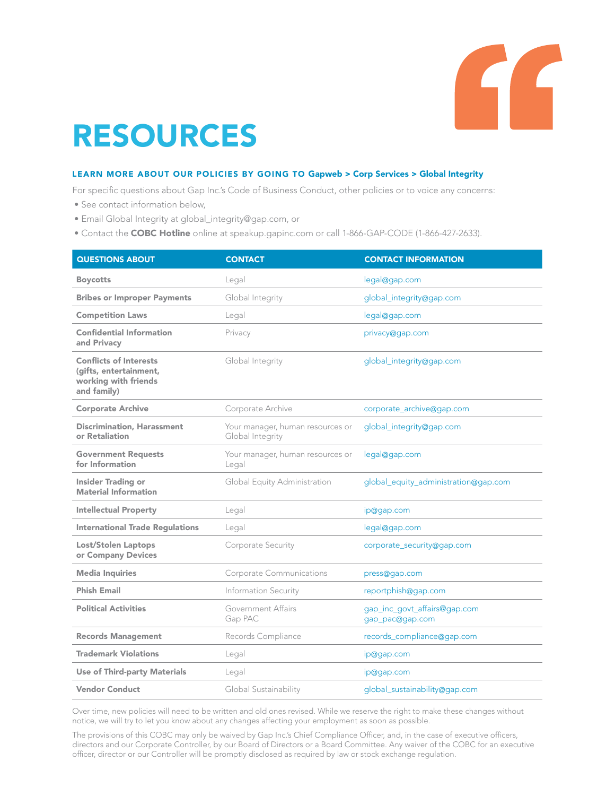

## RESOURCES

#### LEARN MORE ABOUT OUR POLICIES BY GOING TO Gapweb > Corp Services > Global Integrity

For specific questions about Gap Inc.'s Code of Business Conduct, other policies or to voice any concerns:

- See contact information below,
- Email Global Integrity at global\_integrity@gap.com, or
- Contact the COBC Hotline online at speakup.gapinc.com or call 1-866-GAP-CODE (1-866-427-2633).

| <b>QUESTIONS ABOUT</b>                                                                         | <b>CONTACT</b>                                       | <b>CONTACT INFORMATION</b>                      |
|------------------------------------------------------------------------------------------------|------------------------------------------------------|-------------------------------------------------|
| <b>Boycotts</b>                                                                                | Legal                                                | legal@gap.com                                   |
| <b>Bribes or Improper Payments</b>                                                             | Global Integrity                                     | global_integrity@gap.com                        |
| <b>Competition Laws</b>                                                                        | Legal                                                | legal@gap.com                                   |
| <b>Confidential Information</b><br>and Privacy                                                 | Privacy                                              | privacy@gap.com                                 |
| <b>Conflicts of Interests</b><br>(gifts, entertainment,<br>working with friends<br>and family) | Global Integrity                                     | global_integrity@gap.com                        |
| <b>Corporate Archive</b>                                                                       | Corporate Archive                                    | corporate_archive@gap.com                       |
| <b>Discrimination, Harassment</b><br>or Retaliation                                            | Your manager, human resources or<br>Global Integrity | global_integrity@gap.com                        |
| <b>Government Requests</b><br>for Information                                                  | Your manager, human resources or<br>Legal            | legal@gap.com                                   |
| <b>Insider Trading or</b><br><b>Material Information</b>                                       | Global Equity Administration                         | global_equity_administration@gap.com            |
| <b>Intellectual Property</b>                                                                   | Legal                                                | ip@gap.com                                      |
| <b>International Trade Regulations</b>                                                         | Legal                                                | legal@gap.com                                   |
| <b>Lost/Stolen Laptops</b><br>or Company Devices                                               | <b>Corporate Security</b>                            | corporate_security@gap.com                      |
| <b>Media Inquiries</b>                                                                         | Corporate Communications                             | press@gap.com                                   |
| <b>Phish Email</b>                                                                             | Information Security                                 | reportphish@gap.com                             |
| <b>Political Activities</b>                                                                    | Government Affairs<br>Gap PAC                        | gap_inc_govt_affairs@gap.com<br>gap_pac@gap.com |
| <b>Records Management</b>                                                                      | Records Compliance                                   | records_compliance@gap.com                      |
| <b>Trademark Violations</b>                                                                    | Legal                                                | ip@gap.com                                      |
| <b>Use of Third-party Materials</b>                                                            | Legal                                                | ip@gap.com                                      |
| <b>Vendor Conduct</b>                                                                          | Global Sustainability                                | global_sustainability@gap.com                   |

Over time, new policies will need to be written and old ones revised. While we reserve the right to make these changes without notice, we will try to let you know about any changes affecting your employment as soon as possible.

The provisions of this COBC may only be waived by Gap Inc.'s Chief Compliance Officer, and, in the case of executive officers, directors and our Corporate Controller, by our Board of Directors or a Board Committee. Any waiver of the COBC for an executive officer, director or our Controller will be promptly disclosed as required by law or stock exchange regulation.